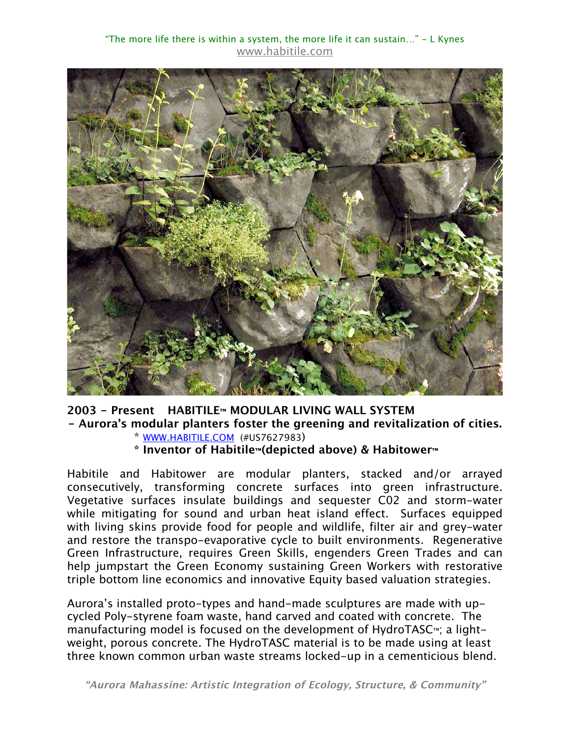

## **2003 - Present HABITILE™ MODULAR LIVING WALL SYSTEM - Aurora's modular planters foster the greening and revitalization of cities.**

- \* WWW.HABITILE.COM (#US7627983)
- **\* Inventor of Habitile™(depicted above) & Habitower™**

Habitile and Habitower are modular planters, stacked and/or arrayed consecutively, transforming concrete surfaces into green infrastructure. Vegetative surfaces insulate buildings and sequester C02 and storm-water while mitigating for sound and urban heat island effect. Surfaces equipped with living skins provide food for people and wildlife, filter air and grey-water and restore the transpo-evaporative cycle to built environments. Regenerative Green Infrastructure, requires Green Skills, engenders Green Trades and can help jumpstart the Green Economy sustaining Green Workers with restorative triple bottom line economics and innovative Equity based valuation strategies.

Aurora's installed proto-types and hand-made sculptures are made with upcycled Poly-styrene foam waste, hand carved and coated with concrete. The manufacturing model is focused on the development of HydroTASC™; a lightweight, porous concrete. The HydroTASC material is to be made using at least three known common urban waste streams locked-up in a cementicious blend.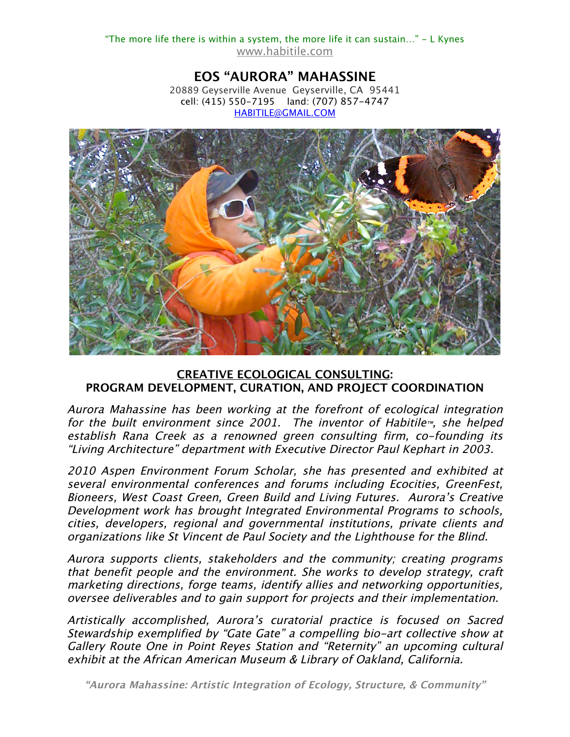**EOS "AURORA" MAHASSINE** 20889 Geyserville Avenue Geyserville, CA 95441 cell: (415) 550-7195 land: (707) 857-4747 HABITILE@GMAIL.COM



## **CREATIVE ECOLOGICAL CONSULTING: PROGRAM DEVELOPMENT, CURATION, AND PROJECT COORDINATION**

Aurora Mahassine has been working at the forefront of ecological integration for the built environment since 2001. The inventor of Habitile™, she helped establish Rana Creek as a renowned green consulting firm, co-founding its "Living Architecture" department with Executive Director Paul Kephart in 2003.

2010 Aspen Environment Forum Scholar, she has presented and exhibited at several environmental conferences and forums including Ecocities, GreenFest, Bioneers, West Coast Green, Green Build and Living Futures. Aurora's Creative Development work has brought Integrated Environmental Programs to schools, cities, developers, regional and governmental institutions, private clients and organizations like St Vincent de Paul Society and the Lighthouse for the Blind.

Aurora supports clients, stakeholders and the community; creating programs that benefit people and the environment. She works to develop strategy, craft marketing directions, forge teams, identify allies and networking opportunities, oversee deliverables and to gain support for projects and their implementation.

Artistically accomplished, Aurora's curatorial practice is focused on Sacred Stewardship exemplified by "Gate Gate" a compelling bio-art collective show at Gallery Route One in Point Reyes Station and "Reternity" an upcoming cultural exhibit at the African American Museum & Library of Oakland, California.

**"Aurora Mahassine: Artistic Integration of Ecology, Structure, & Community"**